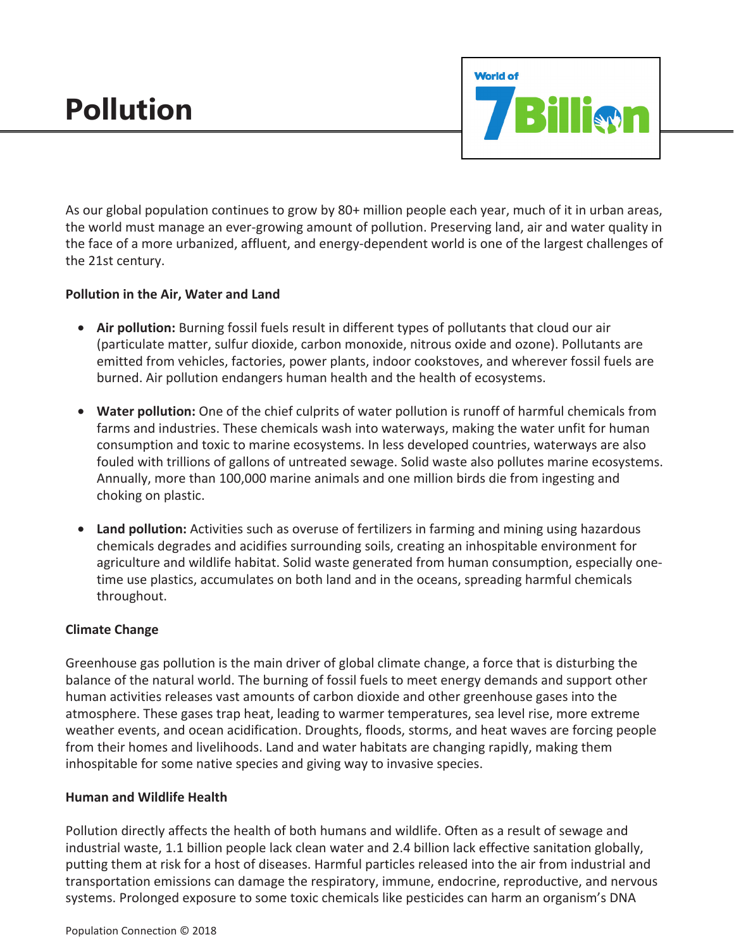# **Pollution**



As our global population continues to grow by 80+ million people each year, much of it in urban areas, the world must manage an ever-growing amount of pollution. Preserving land, air and water quality in the face of a more urbanized, affluent, and energy-dependent world is one of the largest challenges of the 21st century.

## **Pollution in the Air, Water and Land**

- **Air pollution:** Burning fossil fuels result in different types of pollutants that cloud our air (particulate matter, sulfur dioxide, carbon monoxide, nitrous oxide and ozone). Pollutants are emitted from vehicles, factories, power plants, indoor cookstoves, and wherever fossil fuels are burned. Air pollution endangers human health and the health of ecosystems.
- **Water pollution:** One of the chief culprits of water pollution is runoff of harmful chemicals from farms and industries. These chemicals wash into waterways, making the water unfit for human consumption and toxic to marine ecosystems. In less developed countries, waterways are also fouled with trillions of gallons of untreated sewage. Solid waste also pollutes marine ecosystems. Annually, more than 100,000 marine animals and one million birds die from ingesting and choking on plastic.
- **Land pollution:** Activities such as overuse of fertilizers in farming and mining using hazardous chemicals degrades and acidifies surrounding soils, creating an inhospitable environment for agriculture and wildlife habitat. Solid waste generated from human consumption, especially onetime use plastics, accumulates on both land and in the oceans, spreading harmful chemicals throughout.

## **Climate Change**

Greenhouse gas pollution is the main driver of global climate change, a force that is disturbing the balance of the natural world. The burning of fossil fuels to meet energy demands and support other human activities releases vast amounts of carbon dioxide and other greenhouse gases into the atmosphere. These gases trap heat, leading to warmer temperatures, sea level rise, more extreme weather events, and ocean acidification. Droughts, floods, storms, and heat waves are forcing people from their homes and livelihoods. Land and water habitats are changing rapidly, making them inhospitable for some native species and giving way to invasive species.

#### **Human and Wildlife Health**

Pollution directly affects the health of both humans and wildlife. Often as a result of sewage and industrial waste, 1.1 billion people lack clean water and 2.4 billion lack effective sanitation globally, putting them at risk for a host of diseases. Harmful particles released into the air from industrial and transportation emissions can damage the respiratory, immune, endocrine, reproductive, and nervous systems. Prolonged exposure to some toxic chemicals like pesticides can harm an organism's DNA